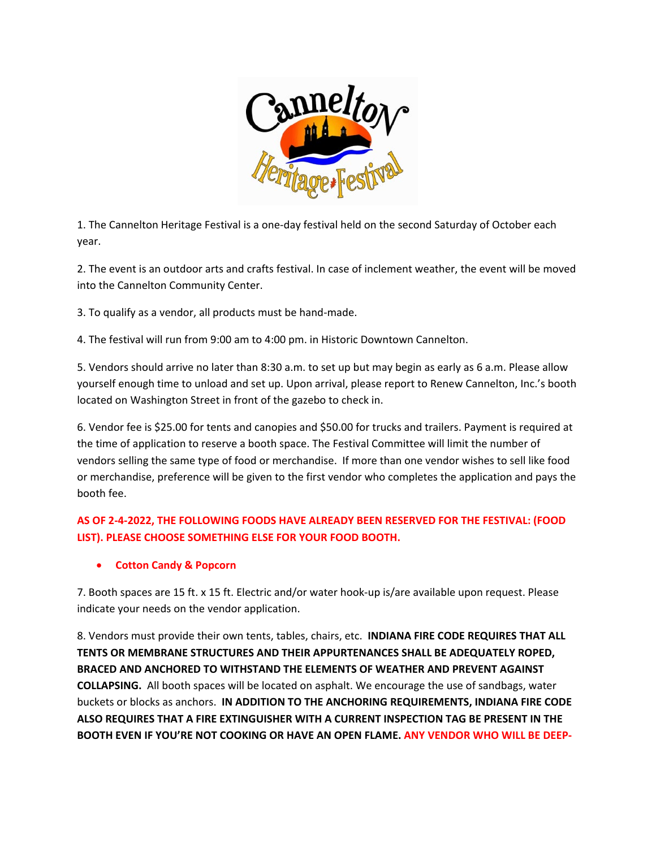

1. The Cannelton Heritage Festival is a one-day festival held on the second Saturday of October each year.

2. The event is an outdoor arts and crafts festival. In case of inclement weather, the event will be moved into the Cannelton Community Center.

3. To qualify as a vendor, all products must be hand-made.

4. The festival will run from 9:00 am to 4:00 pm. in Historic Downtown Cannelton.

5. Vendors should arrive no later than 8:30 a.m. to set up but may begin as early as 6 a.m. Please allow yourself enough time to unload and set up. Upon arrival, please report to Renew Cannelton, Inc.'s booth located on Washington Street in front of the gazebo to check in.

6. Vendor fee is \$25.00 for tents and canopies and \$50.00 for trucks and trailers. Payment is required at the time of application to reserve a booth space. The Festival Committee will limit the number of vendors selling the same type of food or merchandise. If more than one vendor wishes to sell like food or merchandise, preference will be given to the first vendor who completes the application and pays the booth fee.

## **AS OF 2-4-2022, THE FOLLOWING FOODS HAVE ALREADY BEEN RESERVED FOR THE FESTIVAL: (FOOD LIST). PLEASE CHOOSE SOMETHING ELSE FOR YOUR FOOD BOOTH.**

## • **Cotton Candy & Popcorn**

7. Booth spaces are 15 ft. x 15 ft. Electric and/or water hook-up is/are available upon request. Please indicate your needs on the vendor application.

8. Vendors must provide their own tents, tables, chairs, etc. **INDIANA FIRE CODE REQUIRES THAT ALL TENTS OR MEMBRANE STRUCTURES AND THEIR APPURTENANCES SHALL BE ADEQUATELY ROPED, BRACED AND ANCHORED TO WITHSTAND THE ELEMENTS OF WEATHER AND PREVENT AGAINST COLLAPSING.** All booth spaces will be located on asphalt. We encourage the use of sandbags, water buckets or blocks as anchors. **IN ADDITION TO THE ANCHORING REQUIREMENTS, INDIANA FIRE CODE ALSO REQUIRES THAT A FIRE EXTINGUISHER WITH A CURRENT INSPECTION TAG BE PRESENT IN THE BOOTH EVEN IF YOU'RE NOT COOKING OR HAVE AN OPEN FLAME. ANY VENDOR WHO WILL BE DEEP-**